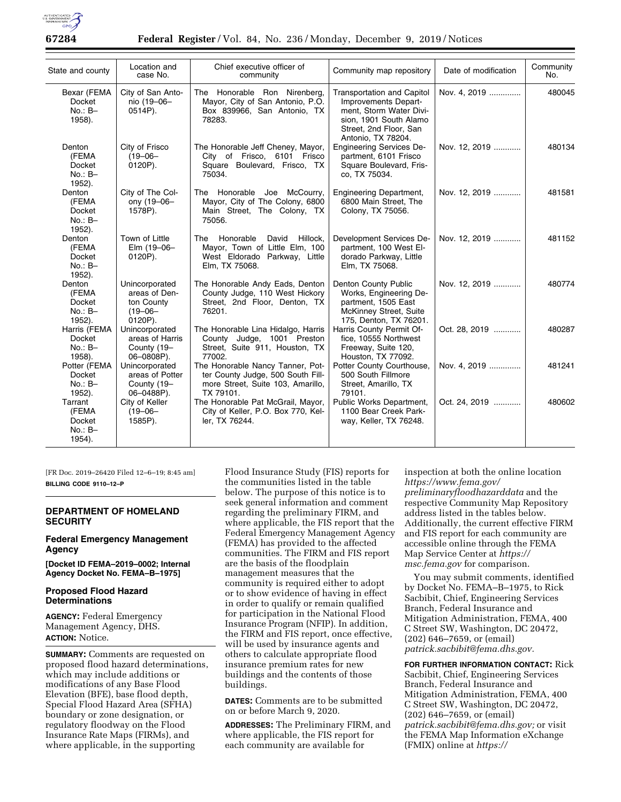

**67284 Federal Register** / Vol. 84, No. 236 / Monday, December 9, 2019 / Notices

| State and county                                    | Location and<br>case No.                                                 | Chief executive officer of<br>community                                                                                 | Community map repository                                                                                                                                       | Date of modification | Community<br>No. |
|-----------------------------------------------------|--------------------------------------------------------------------------|-------------------------------------------------------------------------------------------------------------------------|----------------------------------------------------------------------------------------------------------------------------------------------------------------|----------------------|------------------|
| Bexar (FEMA<br><b>Docket</b><br>$No.: B-$<br>1958). | City of San Anto-<br>nio (19-06-<br>0514P).                              | The Honorable Ron Nirenberg,<br>Mayor, City of San Antonio, P.O.<br>Box 839966, San Antonio, TX<br>78283.               | <b>Transportation and Capitol</b><br>Improvements Depart-<br>ment. Storm Water Divi-<br>sion, 1901 South Alamo<br>Street, 2nd Floor, San<br>Antonio, TX 78204. | Nov. 4. 2019         | 480045           |
| Denton<br>(FEMA<br>Docket<br>$No.: B-$<br>1952).    | City of Frisco<br>$(19 - 06 -$<br>0120P).                                | The Honorable Jeff Cheney, Mayor,<br>City of Frisco, 6101 Frisco<br>Square Boulevard, Frisco, TX<br>75034.              | <b>Engineering Services De-</b><br>partment, 6101 Frisco<br>Square Boulevard, Fris-<br>co, TX 75034.                                                           | Nov. 12, 2019        | 480134           |
| Denton<br>(FEMA<br>Docket<br>$No.: B-$<br>1952).    | City of The Col-<br>ony (19-06-<br>1578P).                               | The Honorable Joe McCourry,<br>Mayor, City of The Colony, 6800<br>Main Street, The Colony, TX<br>75056.                 | <b>Engineering Department,</b><br>6800 Main Street, The<br>Colony, TX 75056.                                                                                   | Nov. 12, 2019        | 481581           |
| Denton<br>(FEMA<br>Docket<br>$No.: B-$<br>1952).    | Town of Little<br>Elm (19-06-<br>0120P).                                 | Hillock,<br>The Honorable<br>David<br>Mayor, Town of Little Elm, 100<br>West Eldorado Parkway, Little<br>Elm, TX 75068. | Development Services De-<br>partment, 100 West El-<br>dorado Parkway, Little<br>Elm, TX 75068.                                                                 | Nov. 12, 2019        | 481152           |
| Denton<br>(FEMA<br>Docket<br>$No.: B-$<br>1952).    | Unincorporated<br>areas of Den-<br>ton County<br>$(19 - 06 -$<br>0120P). | The Honorable Andy Eads, Denton<br>County Judge, 110 West Hickory<br>Street, 2nd Floor, Denton, TX<br>76201.            | Denton County Public<br>Works, Engineering De-<br>partment, 1505 East<br>McKinney Street, Suite<br>175, Denton, TX 76201.                                      | Nov. 12, 2019        | 480774           |
| Harris (FEMA<br>Docket<br>$No.: B-$<br>1958).       | Unincorporated<br>areas of Harris<br>County (19-<br>06-0808P).           | The Honorable Lina Hidalgo, Harris<br>County Judge, 1001 Preston<br>Street, Suite 911, Houston, TX<br>77002.            | Harris County Permit Of-<br>fice, 10555 Northwest<br>Freeway, Suite 120,<br>Houston, TX 77092.                                                                 | Oct. 28, 2019        | 480287           |
| Potter (FEMA<br>Docket<br>$No.: B-$<br>1952).       | Unincorporated<br>areas of Potter<br>County (19-<br>06-0488P).           | The Honorable Nancy Tanner, Pot-<br>ter County Judge, 500 South Fill-<br>more Street, Suite 103, Amarillo,<br>TX 79101. | Potter County Courthouse,<br>500 South Fillmore<br>Street, Amarillo, TX<br>79101.                                                                              | Nov. 4, 2019         | 481241           |
| Tarrant<br>(FEMA<br>Docket<br>$No.: B-$<br>1954).   | City of Keller<br>$(19 - 06 -$<br>1585P).                                | The Honorable Pat McGrail, Mayor,<br>City of Keller, P.O. Box 770, Kel-<br>ler, TX 76244.                               | Public Works Department,<br>1100 Bear Creek Park-<br>way, Keller, TX 76248.                                                                                    | Oct. 24, 2019        | 480602           |

[FR Doc. 2019–26420 Filed 12–6–19; 8:45 am] **BILLING CODE 9110–12–P** 

# **DEPARTMENT OF HOMELAND SECURITY**

# **Federal Emergency Management Agency**

**[Docket ID FEMA–2019–0002; Internal Agency Docket No. FEMA–B–1975]** 

# **Proposed Flood Hazard Determinations**

**AGENCY:** Federal Emergency Management Agency, DHS. **ACTION:** Notice.

**SUMMARY:** Comments are requested on proposed flood hazard determinations, which may include additions or modifications of any Base Flood Elevation (BFE), base flood depth, Special Flood Hazard Area (SFHA) boundary or zone designation, or regulatory floodway on the Flood Insurance Rate Maps (FIRMs), and where applicable, in the supporting

Flood Insurance Study (FIS) reports for the communities listed in the table below. The purpose of this notice is to seek general information and comment regarding the preliminary FIRM, and where applicable, the FIS report that the Federal Emergency Management Agency (FEMA) has provided to the affected communities. The FIRM and FIS report are the basis of the floodplain management measures that the community is required either to adopt or to show evidence of having in effect in order to qualify or remain qualified for participation in the National Flood Insurance Program (NFIP). In addition, the FIRM and FIS report, once effective, will be used by insurance agents and others to calculate appropriate flood insurance premium rates for new buildings and the contents of those buildings.

**DATES:** Comments are to be submitted on or before March 9, 2020.

**ADDRESSES:** The Preliminary FIRM, and where applicable, the FIS report for each community are available for

inspection at both the online location *[https://www.fema.gov/](https://www.fema.gov/preliminaryfloodhazarddata) [preliminaryfloodhazarddata](https://www.fema.gov/preliminaryfloodhazarddata)* and the respective Community Map Repository address listed in the tables below. Additionally, the current effective FIRM and FIS report for each community are accessible online through the FEMA Map Service Center at *[https://](https://msc.fema.gov) [msc.fema.gov](https://msc.fema.gov)* for comparison.

You may submit comments, identified by Docket No. FEMA–B–1975, to Rick Sacbibit, Chief, Engineering Services Branch, Federal Insurance and Mitigation Administration, FEMA, 400 C Street SW, Washington, DC 20472, (202) 646–7659, or (email) *[patrick.sacbibit@fema.dhs.gov.](mailto:patrick.sacbibit@fema.dhs.gov)* 

**FOR FURTHER INFORMATION CONTACT:** Rick Sacbibit, Chief, Engineering Services Branch, Federal Insurance and Mitigation Administration, FEMA, 400 C Street SW, Washington, DC 20472, (202) 646–7659, or (email) *[patrick.sacbibit@fema.dhs.gov;](mailto:patrick.sacbibit@fema.dhs.gov)* or visit the FEMA Map Information eXchange (FMIX) online at *[https://](https://www.floodmaps.fema.gov/fhm/fmx_main.html)*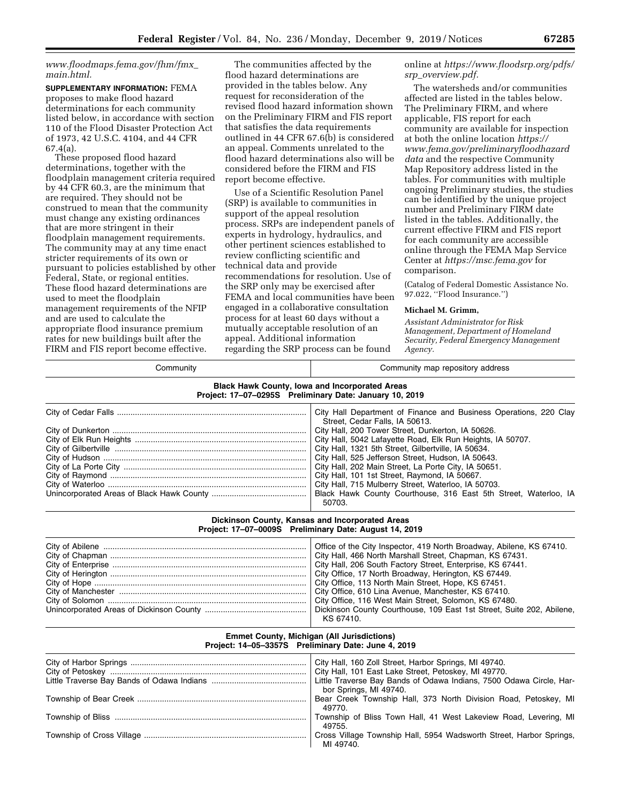*[www.floodmaps.fema.gov/fhm/fmx](https://www.floodmaps.fema.gov/fhm/fmx_main.html)*\_ *[main.html.](https://www.floodmaps.fema.gov/fhm/fmx_main.html)* 

**SUPPLEMENTARY INFORMATION:** FEMA proposes to make flood hazard determinations for each community listed below, in accordance with section 110 of the Flood Disaster Protection Act of 1973, 42 U.S.C. 4104, and 44 CFR 67.4(a).

These proposed flood hazard determinations, together with the floodplain management criteria required by 44 CFR 60.3, are the minimum that are required. They should not be construed to mean that the community must change any existing ordinances that are more stringent in their floodplain management requirements. The community may at any time enact stricter requirements of its own or pursuant to policies established by other Federal, State, or regional entities. These flood hazard determinations are used to meet the floodplain management requirements of the NFIP and are used to calculate the appropriate flood insurance premium rates for new buildings built after the FIRM and FIS report become effective.

The communities affected by the flood hazard determinations are provided in the tables below. Any request for reconsideration of the revised flood hazard information shown on the Preliminary FIRM and FIS report that satisfies the data requirements outlined in 44 CFR 67.6(b) is considered an appeal. Comments unrelated to the flood hazard determinations also will be considered before the FIRM and FIS report become effective.

Use of a Scientific Resolution Panel (SRP) is available to communities in support of the appeal resolution process. SRPs are independent panels of experts in hydrology, hydraulics, and other pertinent sciences established to review conflicting scientific and technical data and provide recommendations for resolution. Use of the SRP only may be exercised after FEMA and local communities have been engaged in a collaborative consultation process for at least 60 days without a mutually acceptable resolution of an appeal. Additional information regarding the SRP process can be found

online at *[https://www.floodsrp.org/pdfs/](https://www.floodsrp.org/pdfs/srp_overview.pdf) srp*\_*[overview.pdf.](https://www.floodsrp.org/pdfs/srp_overview.pdf)* 

The watersheds and/or communities affected are listed in the tables below. The Preliminary FIRM, and where applicable, FIS report for each community are available for inspection at both the online location *[https://](https://www.fema.gov/preliminaryfloodhazarddata) [www.fema.gov/preliminaryfloodhazard](https://www.fema.gov/preliminaryfloodhazarddata) [data](https://www.fema.gov/preliminaryfloodhazarddata)* and the respective Community Map Repository address listed in the tables. For communities with multiple ongoing Preliminary studies, the studies can be identified by the unique project number and Preliminary FIRM date listed in the tables. Additionally, the current effective FIRM and FIS report for each community are accessible online through the FEMA Map Service Center at *<https://msc.fema.gov>* for comparison.

(Catalog of Federal Domestic Assistance No. 97.022, ''Flood Insurance.'')

#### **Michael M. Grimm,**

*Assistant Administrator for Risk Management, Department of Homeland Security, Federal Emergency Management Agency.* 

| Community                                                                                                        | Community map repository address                                                                                                                                                                                                                                                                                                                                                                                                                                                                                                                                                 |  |  |  |
|------------------------------------------------------------------------------------------------------------------|----------------------------------------------------------------------------------------------------------------------------------------------------------------------------------------------------------------------------------------------------------------------------------------------------------------------------------------------------------------------------------------------------------------------------------------------------------------------------------------------------------------------------------------------------------------------------------|--|--|--|
| <b>Black Hawk County, Iowa and Incorporated Areas</b><br>Project: 17-07-0295S Preliminary Date: January 10, 2019 |                                                                                                                                                                                                                                                                                                                                                                                                                                                                                                                                                                                  |  |  |  |
|                                                                                                                  | City Hall Department of Finance and Business Operations, 220 Clay<br>Street, Cedar Falls, IA 50613.<br>City Hall, 200 Tower Street, Dunkerton, IA 50626.<br>City Hall, 5042 Lafayette Road, Elk Run Heights, IA 50707.<br>City Hall, 1321 5th Street, Gilbertville, IA 50634.<br>City Hall, 525 Jefferson Street, Hudson, IA 50643.<br>City Hall, 202 Main Street, La Porte City, IA 50651.<br>City Hall, 101 1st Street, Raymond, IA 50667.<br>City Hall, 715 Mulberry Street, Waterloo, IA 50703.<br>Black Hawk County Courthouse, 316 East 5th Street, Waterloo, IA<br>50703. |  |  |  |
|                                                                                                                  | Dickinson County, Kansas and Incorporated Areas<br>Project: 17-07-0009S Preliminary Date: August 14, 2019                                                                                                                                                                                                                                                                                                                                                                                                                                                                        |  |  |  |
|                                                                                                                  | Office of the City Inspector, 419 North Broadway, Abilene, KS 67410.<br>City Hall, 466 North Marshall Street, Chapman, KS 67431.<br>City Hall, 206 South Factory Street, Enterprise, KS 67441.<br>City Office, 17 North Broadway, Herington, KS 67449.<br>City Office, 113 North Main Street, Hope, KS 67451.<br>City Office, 610 Lina Avenue, Manchester, KS 67410.<br>City Office, 116 West Main Street, Solomon, KS 67480.<br>Dickinson County Courthouse, 109 East 1st Street, Suite 202, Abilene,<br>KS 67410.                                                              |  |  |  |
|                                                                                                                  | <b>Emmet County, Michigan (All Jurisdictions)</b><br>Project: 14-05-3357S Preliminary Date: June 4, 2019                                                                                                                                                                                                                                                                                                                                                                                                                                                                         |  |  |  |
|                                                                                                                  | City Hall, 160 Zoll Street, Harbor Springs, MI 49740.<br>City Hall, 101 East Lake Street, Petoskey, MI 49770.<br>Little Traverse Bay Bands of Odawa Indians, 7500 Odawa Circle, Har-<br>bor Springs, MI 49740.                                                                                                                                                                                                                                                                                                                                                                   |  |  |  |
|                                                                                                                  | Bear Creek Township Hall, 373 North Division Road, Petoskey, MI<br>49770.                                                                                                                                                                                                                                                                                                                                                                                                                                                                                                        |  |  |  |
|                                                                                                                  | Township of Bliss Town Hall, 41 West Lakeview Road, Levering, MI<br>49755.                                                                                                                                                                                                                                                                                                                                                                                                                                                                                                       |  |  |  |
|                                                                                                                  | Cross Village Township Hall, 5954 Wadsworth Street, Harbor Springs,<br>MI 49740.                                                                                                                                                                                                                                                                                                                                                                                                                                                                                                 |  |  |  |